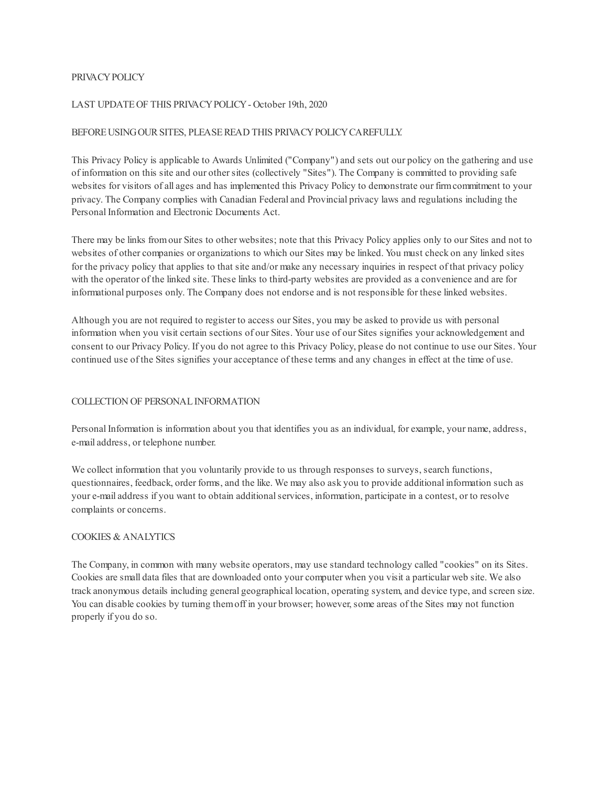### PRIVACYPOLICY

### LAST UPDATEOF THIS PRIVACYPOLICY- October 19th, 2020

### BEFORE USING OUR SITES, PLEASE READ THIS PRIVACY POLICY CAREFULLY.

This Privacy Policy is applicable to Awards Unlimited ("Company") and sets out our policy on the gathering and use of information on this site and our othersites (collectively "Sites"). The Company is committed to providing safe websites for visitors of all ages and has implemented this Privacy Policy to demonstrate our firmcommitment to your privacy. The Company complies with Canadian Federal and Provincial privacy laws and regulations including the Personal Information and Electronic Documents Act.

There may be links fromour Sites to other websites; note that this Privacy Policy applies only to our Sites and not to websites of other companies or organizations to which our Sites may be linked. You must check on any linked sites for the privacy policy that applies to that site and/or make any necessary inquiries in respect of that privacy policy with the operator of the linked site. These links to third-party websites are provided as a convenience and are for informational purposes only. The Company does not endorse and is not responsible for these linked websites.

Although you are not required to register to access our Sites, you may be asked to provide us with personal information when you visit certain sections of our Sites. Your use of our Sites signifies your acknowledgement and consent to our Privacy Policy. If you do not agree to this Privacy Policy, please do not continue to use our Sites. Your continued use of the Sites signifies your acceptance of these terms and any changes in effect at the time of use.

# COLLECTION OF PERSONALINFORMATION

Personal Information is information about you that identifies you as an individual, for example, your name, address, e-mail address, or telephone number.

We collect information that you voluntarily provide to us through responses to surveys, search functions, questionnaires, feedback, order forms, and the like. We may also ask you to provide additional information such as your e-mail address if you want to obtain additionalservices, information, participate in a contest, or to resolve complaints or concerns.

# COOKIES & ANALYTICS

The Company, in common with many website operators, may use standard technology called "cookies" on its Sites. Cookies are small data files that are downloaded onto your computer when you visit a particular web site. We also track anonymous details including general geographical location, operating system, and device type, and screen size. You can disable cookies by turning themoff in your browser; however, some areas of the Sites may not function properly if you do so.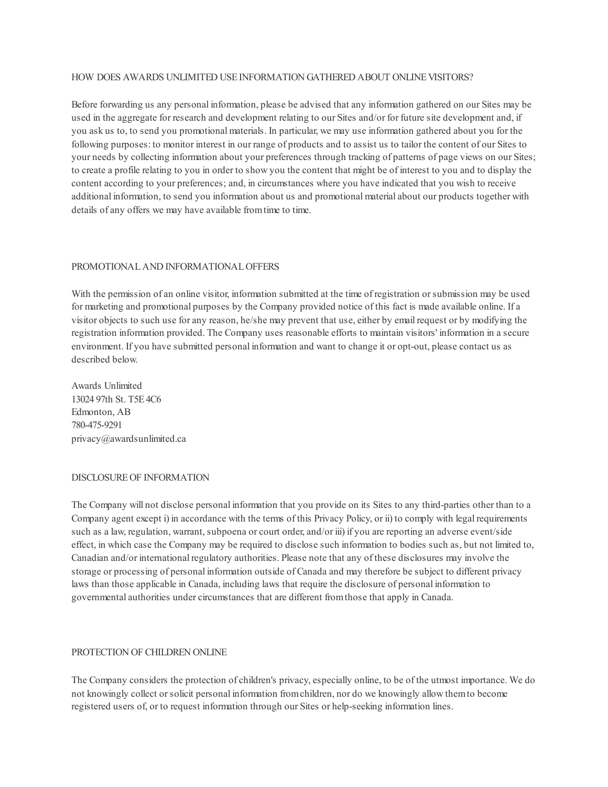### HOW DOES AWARDS UNLIMITED USE INFORMATION GATHERED ABOUT ONLINE VISITORS?

Before forwarding us any personal information, please be advised that any information gathered on our Sites may be used in the aggregate for research and development relating to our Sites and/or for future site development and, if you ask us to, to send you promotional materials. In particular, we may use information gathered about you for the following purposes: to monitor interest in our range of products and to assist us to tailor the content of our Sites to your needs by collecting information about your preferences through tracking of patterns of page views on our Sites; to create a profile relating to you in order to show you the content that might be of interest to you and to display the content according to your preferences; and, in circumstances where you have indicated that you wish to receive additional information, to send you information about us and promotional material about our products together with details of any offers we may have available fromtime to time.

# PROMOTIONALAND INFORMATIONALOFFERS

With the permission of an online visitor, information submitted at the time of registration or submission may be used for marketing and promotional purposes by the Company provided notice of this fact is made available online. If a visitor objects to such use for any reason, he/she may prevent that use, either by email request or by modifying the registration information provided. The Company uses reasonable efforts to maintain visitors' information in a secure environment. If you have submitted personal information and want to change it or opt-out, please contact us as described below.

Awards Unlimited 13024 97th St. T5E4C6 Edmonton, AB 780-475-9291 privacy@awardsunlimited.ca

#### DISCLOSUREOF INFORMATION

The Company will not disclose personal information that you provide on its Sites to any third-parties other than to a Company agent except i) in accordance with the terms of this Privacy Policy, or ii) to comply with legal requirements such as a law, regulation, warrant, subpoena or court order, and/or iii) if you are reporting an adverse event/side effect, in which case the Company may be required to disclose such information to bodies such as, but not limited to, Canadian and/or international regulatory authorities. Please note that any of these disclosures may involve the storage or processing of personal information outside of Canada and may therefore be subject to different privacy laws than those applicable in Canada, including laws that require the disclosure of personal information to governmental authorities under circumstances that are different fromthose that apply in Canada.

# PROTECTION OF CHILDREN ONLINE

The Company considers the protection of children's privacy, especially online, to be of the utmost importance. We do not knowingly collect orsolicit personal information fromchildren, nor do we knowingly allow themto become registered users of, or to request information through our Sites or help-seeking information lines.